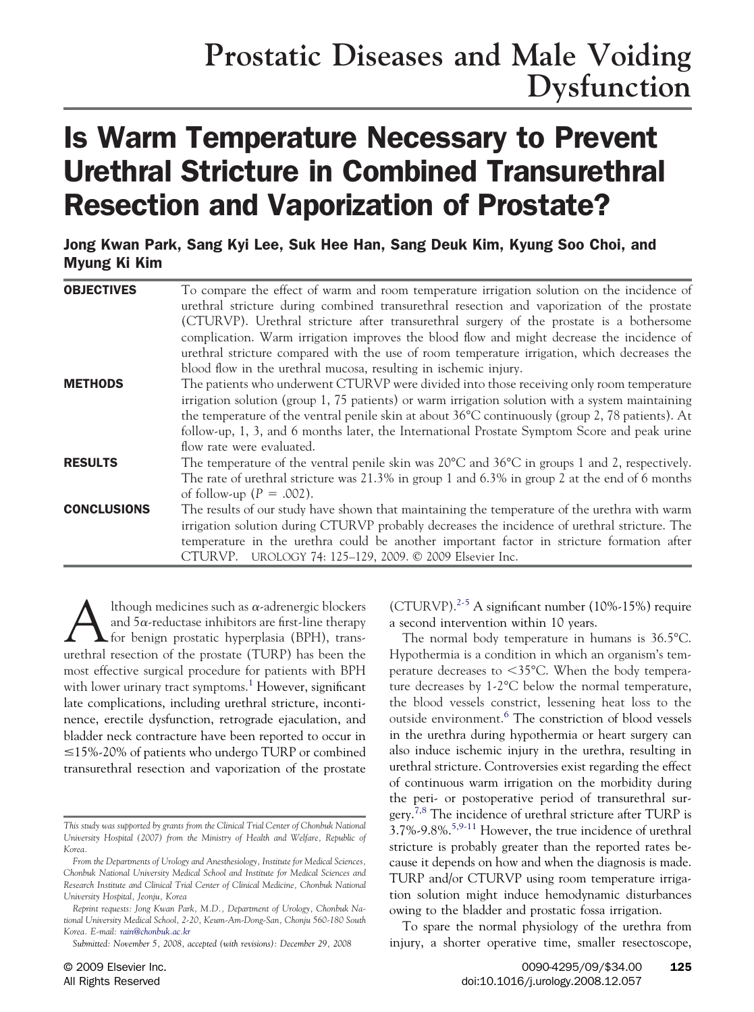## **Prostatic Diseases and Male Voiding Dysfunction**

# Is Warm Temperature Necessary to Prevent Urethral Stricture in Combined Transurethral Resection and Vaporization of Prostate?

Jong Kwan Park, Sang Kyi Lee, Suk Hee Han, Sang Deuk Kim, Kyung Soo Choi, and Myung Ki Kim

| <b>OBJECTIVES</b>  | To compare the effect of warm and room temperature irrigation solution on the incidence of                        |
|--------------------|-------------------------------------------------------------------------------------------------------------------|
|                    | urethral stricture during combined transurethral resection and vaporization of the prostate                       |
|                    | (CTURVP). Urethral stricture after transurethral surgery of the prostate is a bothersome                          |
|                    | complication. Warm irrigation improves the blood flow and might decrease the incidence of                         |
|                    | urethral stricture compared with the use of room temperature irrigation, which decreases the                      |
|                    | blood flow in the urethral mucosa, resulting in ischemic injury.                                                  |
| <b>METHODS</b>     | The patients who underwent CTURVP were divided into those receiving only room temperature                         |
|                    | irrigation solution (group $1, 75$ patients) or warm irrigation solution with a system maintaining                |
|                    | the temperature of the ventral penile skin at about $36^{\circ}$ C continuously (group 2, 78 patients). At        |
|                    | follow-up, 1, 3, and 6 months later, the International Prostate Symptom Score and peak urine                      |
|                    | flow rate were evaluated.                                                                                         |
| <b>RESULTS</b>     | The temperature of the ventral penile skin was $20^{\circ}$ C and $36^{\circ}$ C in groups 1 and 2, respectively. |
|                    | The rate of urethral stricture was $21.3\%$ in group 1 and $6.3\%$ in group 2 at the end of 6 months              |
|                    | of follow-up $(P = .002)$ .                                                                                       |
| <b>CONCLUSIONS</b> | The results of our study have shown that maintaining the temperature of the urethra with warm                     |
|                    | irrigation solution during CTURVP probably decreases the incidence of urethral stricture. The                     |
|                    | temperature in the urethra could be another important factor in stricture formation after                         |
|                    | UROLOGY 74: 125-129, 2009. © 2009 Elsevier Inc.<br>CTURVP.                                                        |

lthough medicines such as  $\alpha$ -adrenergic blockers and  $5\alpha$ -reductase inhibitors are first-line therapy  $\blacktriangle$  for benign prostatic hyperplasia (BPH), transurethral resection of the prostate (TURP) has been the most effective surgical procedure for patients with BPH with lower urinary tract symptoms.<sup>[1](#page-3-0)</sup> However, significant late complications, including urethral stricture, incontinence, erectile dysfunction, retrograde ejaculation, and bladder neck contracture have been reported to occur in  $\leq$ 15%-20% of patients who undergo TURP or combined transurethral resection and vaporization of the prostate (CTURVP). $2-5$  A significant number (10%-15%) require a second intervention within 10 years.

The normal body temperature in humans is 36.5°C. Hypothermia is a condition in which an organism's temperature decreases to <35°C. When the body temperature decreases by 1-2°C below the normal temperature, the blood vessels constrict, lessening heat loss to the outside environment.[6](#page-3-0) The constriction of blood vessels in the urethra during hypothermia or heart surgery can also induce ischemic injury in the urethra, resulting in urethral stricture. Controversies exist regarding the effect of continuous warm irrigation on the morbidity during the peri- or postoperative period of transurethral sur-gery.<sup>[7,8](#page-3-0)</sup> The incidence of urethral stricture after TURP is  $3.7\%$ -9.8%.<sup>5,9-11</sup> However, the true incidence of urethral stricture is probably greater than the reported rates because it depends on how and when the diagnosis is made. TURP and/or CTURVP using room temperature irrigation solution might induce hemodynamic disturbances owing to the bladder and prostatic fossa irrigation.

To spare the normal physiology of the urethra from injury, a shorter operative time, smaller resectoscope,

*This study was supported by grants from the Clinical Trial Center of Chonbuk National University Hospital (2007) from the Ministry of Health and Welfare, Republic of Korea.*

*From the Departments of Urology and Anesthesiology, Institute for Medical Sciences, Chonbuk National University Medical School and Institute for Medical Sciences and Research Institute and Clinical Trial Center of Clinical Medicine, Chonbuk National University Hospital, Jeonju, Korea*

*Reprint requests: Jong Kwan Park, M.D., Department of Urology, Chonbuk National University Medical School, 2-20, Keum-Am-Dong-San, Chonju 560-180 South Korea. E-mail: [rain@chonbuk.ac.kr](mailto:rain@chonbuk.ac.kr)*

*Submitted: November 5, 2008, accepted (with revisions): December 29, 2008*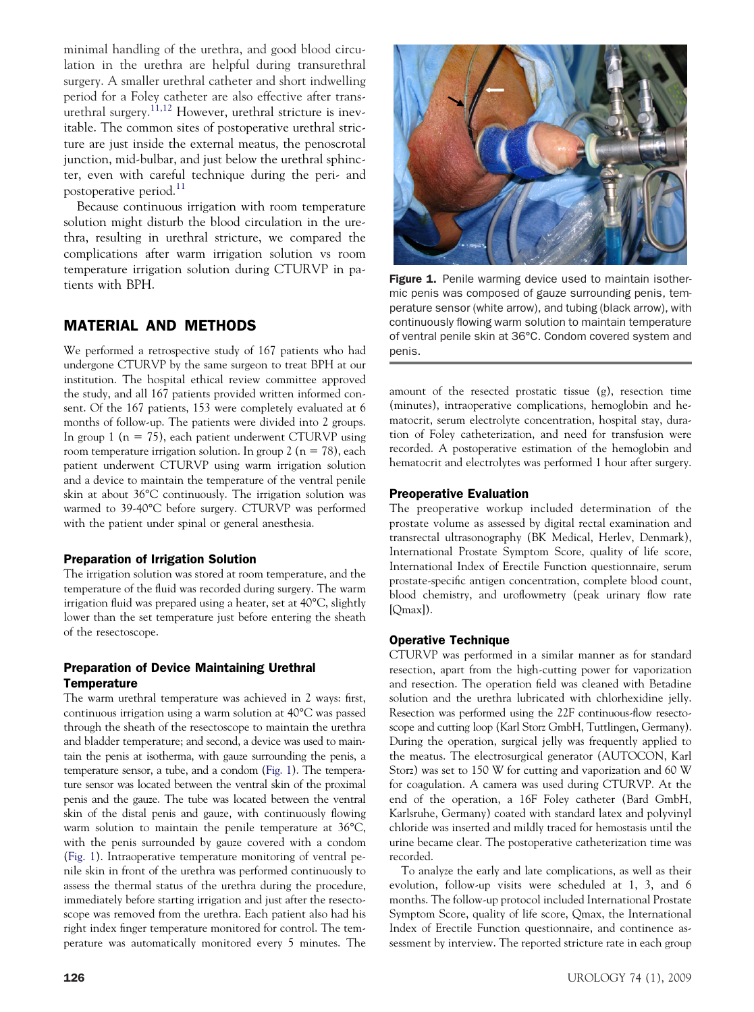minimal handling of the urethra, and good blood circulation in the urethra are helpful during transurethral surgery. A smaller urethral catheter and short indwelling period for a Foley catheter are also effective after trans-urethral surgery.<sup>[11,12](#page-4-0)</sup> However, urethral stricture is inevitable. The common sites of postoperative urethral stricture are just inside the external meatus, the penoscrotal junction, mid-bulbar, and just below the urethral sphincter, even with careful technique during the peri- and postoperative period.<sup>[11](#page-4-0)</sup>

Because continuous irrigation with room temperature solution might disturb the blood circulation in the urethra, resulting in urethral stricture, we compared the complications after warm irrigation solution vs room temperature irrigation solution during CTURVP in patients with BPH.

## MATERIAL AND METHODS

We performed a retrospective study of 167 patients who had undergone CTURVP by the same surgeon to treat BPH at our institution. The hospital ethical review committee approved the study, and all 167 patients provided written informed consent. Of the 167 patients, 153 were completely evaluated at 6 months of follow-up. The patients were divided into 2 groups. In group 1 ( $n = 75$ ), each patient underwent CTURVP using room temperature irrigation solution. In group 2 ( $n = 78$ ), each patient underwent CTURVP using warm irrigation solution and a device to maintain the temperature of the ventral penile skin at about 36°C continuously. The irrigation solution was warmed to 39-40°C before surgery. CTURVP was performed with the patient under spinal or general anesthesia.

#### Preparation of Irrigation Solution

The irrigation solution was stored at room temperature, and the temperature of the fluid was recorded during surgery. The warm irrigation fluid was prepared using a heater, set at 40°C, slightly lower than the set temperature just before entering the sheath of the resectoscope.

#### Preparation of Device Maintaining Urethral **Temperature**

The warm urethral temperature was achieved in 2 ways: first, continuous irrigation using a warm solution at 40°C was passed through the sheath of the resectoscope to maintain the urethra and bladder temperature; and second, a device was used to maintain the penis at isotherma, with gauze surrounding the penis, a temperature sensor, a tube, and a condom (Fig. 1). The temperature sensor was located between the ventral skin of the proximal penis and the gauze. The tube was located between the ventral skin of the distal penis and gauze, with continuously flowing warm solution to maintain the penile temperature at 36°C, with the penis surrounded by gauze covered with a condom (Fig. 1). Intraoperative temperature monitoring of ventral penile skin in front of the urethra was performed continuously to assess the thermal status of the urethra during the procedure, immediately before starting irrigation and just after the resectoscope was removed from the urethra. Each patient also had his right index finger temperature monitored for control. The temperature was automatically monitored every 5 minutes. The



Figure 1. Penile warming device used to maintain isothermic penis was composed of gauze surrounding penis, temperature sensor (white arrow), and tubing (black arrow), with continuously flowing warm solution to maintain temperature of ventral penile skin at 36°C. Condom covered system and penis.

amount of the resected prostatic tissue (g), resection time (minutes), intraoperative complications, hemoglobin and hematocrit, serum electrolyte concentration, hospital stay, duration of Foley catheterization, and need for transfusion were recorded. A postoperative estimation of the hemoglobin and hematocrit and electrolytes was performed 1 hour after surgery.

#### Preoperative Evaluation

The preoperative workup included determination of the prostate volume as assessed by digital rectal examination and transrectal ultrasonography (BK Medical, Herlev, Denmark), International Prostate Symptom Score, quality of life score, International Index of Erectile Function questionnaire, serum prostate-specific antigen concentration, complete blood count, blood chemistry, and uroflowmetry (peak urinary flow rate [Omax]).

#### Operative Technique

CTURVP was performed in a similar manner as for standard resection, apart from the high-cutting power for vaporization and resection. The operation field was cleaned with Betadine solution and the urethra lubricated with chlorhexidine jelly. Resection was performed using the 22F continuous-flow resectoscope and cutting loop (Karl Storz GmbH, Tuttlingen, Germany). During the operation, surgical jelly was frequently applied to the meatus. The electrosurgical generator (AUTOCON, Karl Storz) was set to 150 W for cutting and vaporization and 60 W for coagulation. A camera was used during CTURVP. At the end of the operation, a 16F Foley catheter (Bard GmbH, Karlsruhe, Germany) coated with standard latex and polyvinyl chloride was inserted and mildly traced for hemostasis until the urine became clear. The postoperative catheterization time was recorded.

To analyze the early and late complications, as well as their evolution, follow-up visits were scheduled at 1, 3, and 6 months. The follow-up protocol included International Prostate Symptom Score, quality of life score, Qmax, the International Index of Erectile Function questionnaire, and continence assessment by interview. The reported stricture rate in each group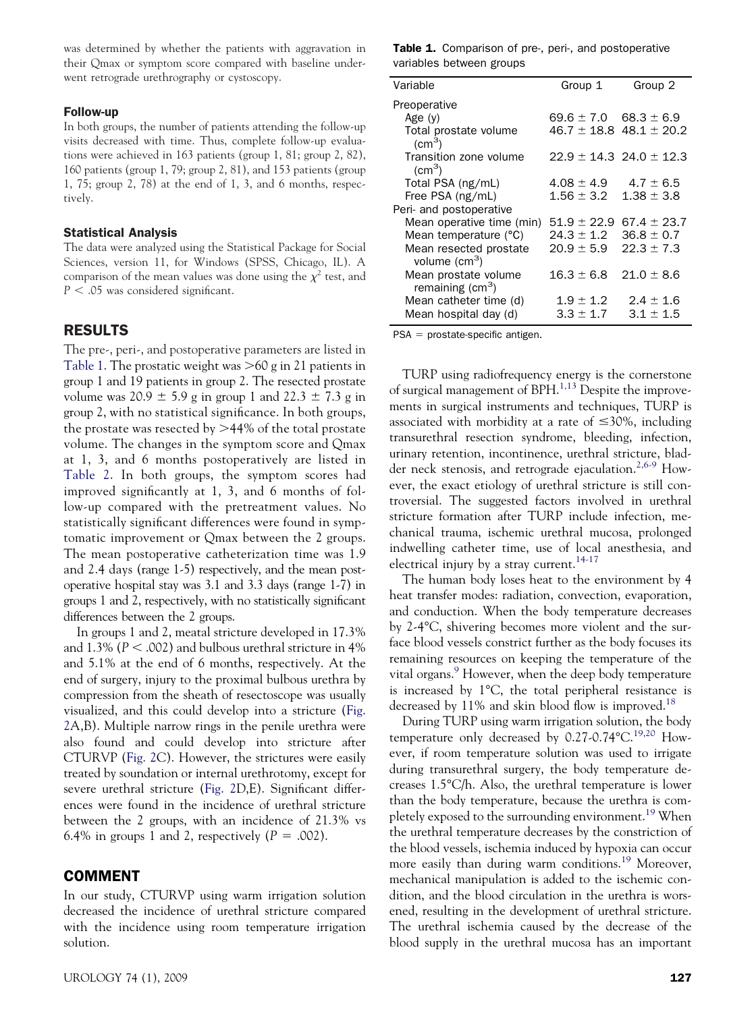was determined by whether the patients with aggravation in their Qmax or symptom score compared with baseline underwent retrograde urethrography or cystoscopy.

#### Follow-up

In both groups, the number of patients attending the follow-up visits decreased with time. Thus, complete follow-up evaluations were achieved in 163 patients (group 1, 81; group 2, 82), 160 patients (group 1, 79; group 2, 81), and 153 patients (group 1, 75; group 2, 78) at the end of 1, 3, and 6 months, respectively.

#### Statistical Analysis

The data were analyzed using the Statistical Package for Social Sciences, version 11, for Windows (SPSS, Chicago, IL). A comparison of the mean values was done using the  $\chi^2$  test, and *P* - .05 was considered significant.

## RESULTS

The pre-, peri-, and postoperative parameters are listed in Table 1. The prostatic weight was  $>60$  g in 21 patients in group 1 and 19 patients in group 2. The resected prostate volume was  $20.9 \pm 5.9$  g in group 1 and  $22.3 \pm 7.3$  g in group 2, with no statistical significance. In both groups, the prostate was resected by  $>44\%$  of the total prostate volume. The changes in the symptom score and Qmax at 1, 3, and 6 months postoperatively are listed in [Table 2.](#page-3-0) In both groups, the symptom scores had improved significantly at 1, 3, and 6 months of follow-up compared with the pretreatment values. No statistically significant differences were found in symptomatic improvement or Qmax between the 2 groups. The mean postoperative catheterization time was 1.9 and 2.4 days (range 1-5) respectively, and the mean postoperative hospital stay was 3.1 and 3.3 days (range 1-7) in groups 1 and 2, respectively, with no statistically significant differences between the 2 groups.

In groups 1 and 2, meatal stricture developed in 17.3% and 1.3% ( $P <$  .002) and bulbous urethral stricture in 4% and 5.1% at the end of 6 months, respectively. At the end of surgery, injury to the proximal bulbous urethra by compression from the sheath of resectoscope was usually visualized, and this could develop into a stricture [\(Fig.](#page-3-0) [2A](#page-3-0),B). Multiple narrow rings in the penile urethra were also found and could develop into stricture after CTURVP [\(Fig. 2C](#page-3-0)). However, the strictures were easily treated by soundation or internal urethrotomy, except for severe urethral stricture [\(Fig. 2D](#page-3-0),E). Significant differences were found in the incidence of urethral stricture between the 2 groups, with an incidence of 21.3% vs 6.4% in groups 1 and 2, respectively  $(P = .002)$ .

#### COMMENT

In our study, CTURVP using warm irrigation solution decreased the incidence of urethral stricture compared with the incidence using room temperature irrigation solution.

Table 1. Comparison of pre-, peri-, and postoperative variables between groups

| Variable                                         | Group 1         | Group 2                         |
|--------------------------------------------------|-----------------|---------------------------------|
| Preoperative                                     |                 |                                 |
| Age $(y)$                                        | 69.6 $\pm$ 7.0  | $68.3 \pm 6.9$                  |
| Total prostate volume<br>$\rm (cm^3)$            |                 | $46.7 \pm 18.8$ $48.1 \pm 20.2$ |
| Transition zone volume<br>$\rm (cm^3)$           |                 | $22.9 \pm 14.3$ 24.0 $\pm$ 12.3 |
| Total PSA (ng/mL)                                | $4.08 \pm 4.9$  | $4.7 \pm 6.5$                   |
| Free PSA (ng/mL)                                 | $1.56 \pm 3.2$  | $1.38 \pm 3.8$                  |
| Peri- and postoperative                          |                 |                                 |
| Mean operative time (min)                        | $51.9 \pm 22.9$ | $67.4 \pm 23.7$                 |
| Mean temperature (°C)                            | $24.3 \pm 1.2$  | $36.8 \pm 0.7$                  |
| Mean resected prostate<br>volume $\text{(cm}^3)$ | $20.9 + 5.9$    | $22.3 + 7.3$                    |
| Mean prostate volume<br>remaining $(cm3)$        | $16.3 \pm 6.8$  | $21.0 \pm 8.6$                  |
| Mean catheter time (d)                           | $1.9 \pm 1.2$   | $2.4 \pm 1.6$                   |
| Mean hospital day (d)                            | $3.3 \pm 1.7$   | $3.1 + 1.5$                     |

 $PSA =$  prostate-specific antigen.

TURP using radiofrequency energy is the cornerstone of surgical management of  $BPH$ .<sup>[1,13](#page-3-0)</sup> Despite the improvements in surgical instruments and techniques, TURP is associated with morbidity at a rate of  $\leq 30\%$ , including transurethral resection syndrome, bleeding, infection, urinary retention, incontinence, urethral stricture, blad-der neck stenosis, and retrograde ejaculation.<sup>[2,6-9](#page-3-0)</sup> However, the exact etiology of urethral stricture is still controversial. The suggested factors involved in urethral stricture formation after TURP include infection, mechanical trauma, ischemic urethral mucosa, prolonged indwelling catheter time, use of local anesthesia, and electrical injury by a stray current.<sup>14-17</sup>

The human body loses heat to the environment by 4 heat transfer modes: radiation, convection, evaporation, and conduction. When the body temperature decreases by 2-4°C, shivering becomes more violent and the surface blood vessels constrict further as the body focuses its remaining resources on keeping the temperature of the vital organs.<sup>9</sup> However, when the deep body temperature is increased by 1°C, the total peripheral resistance is decreased by 11% and skin blood flow is improved.<sup>[18](#page-4-0)</sup>

During TURP using warm irrigation solution, the body temperature only decreased by  $0.27$ -0.74 $^{\circ}$ C.<sup>[19,20](#page-4-0)</sup> However, if room temperature solution was used to irrigate during transurethral surgery, the body temperature decreases 1.5°C/h. Also, the urethral temperature is lower than the body temperature, because the urethra is com-pletely exposed to the surrounding environment.<sup>[19](#page-4-0)</sup> When the urethral temperature decreases by the constriction of the blood vessels, ischemia induced by hypoxia can occur more easily than during warm conditions.<sup>19</sup> Moreover, mechanical manipulation is added to the ischemic condition, and the blood circulation in the urethra is worsened, resulting in the development of urethral stricture. The urethral ischemia caused by the decrease of the blood supply in the urethral mucosa has an important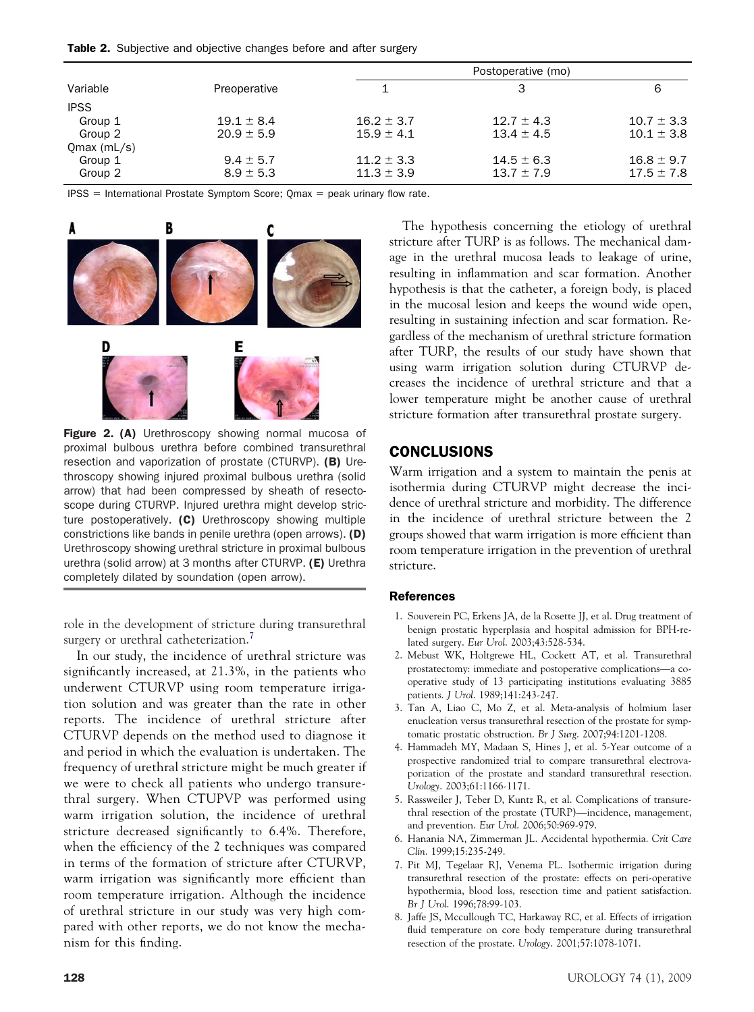<span id="page-3-0"></span>

| Variable      |                | Postoperative (mo) |                |                |
|---------------|----------------|--------------------|----------------|----------------|
|               | Preoperative   |                    | З              | 6              |
| <b>IPSS</b>   |                |                    |                |                |
| Group 1       | $19.1 \pm 8.4$ | $16.2 \pm 3.7$     | $12.7 \pm 4.3$ | $10.7 \pm 3.3$ |
| Group 2       | $20.9 \pm 5.9$ | $15.9 \pm 4.1$     | $13.4 \pm 4.5$ | $10.1 \pm 3.8$ |
| $Qmax$ (mL/s) |                |                    |                |                |
| Group 1       | $9.4 \pm 5.7$  | $11.2 \pm 3.3$     | $14.5 \pm 6.3$ | $16.8 \pm 9.7$ |
| Group 2       | $8.9 \pm 5.3$  | $11.3 \pm 3.9$     | $13.7 \pm 7.9$ | $17.5 \pm 7.8$ |

 $IPSS = International Prostate Symptom Score$ ;  $Omax = peak$  urinary flow rate.



Figure 2. (A) Urethroscopy showing normal mucosa of proximal bulbous urethra before combined transurethral resection and vaporization of prostate (CTURVP). (B) Urethroscopy showing injured proximal bulbous urethra (solid arrow) that had been compressed by sheath of resectoscope during CTURVP. Injured urethra might develop stricture postoperatively. (C) Urethroscopy showing multiple constrictions like bands in penile urethra (open arrows). (D) Urethroscopy showing urethral stricture in proximal bulbous urethra (solid arrow) at 3 months after CTURVP. (E) Urethra completely dilated by soundation (open arrow).

role in the development of stricture during transurethral surgery or urethral catheterization.<sup>7</sup>

In our study, the incidence of urethral stricture was significantly increased, at 21.3%, in the patients who underwent CTURVP using room temperature irrigation solution and was greater than the rate in other reports. The incidence of urethral stricture after CTURVP depends on the method used to diagnose it and period in which the evaluation is undertaken. The frequency of urethral stricture might be much greater if we were to check all patients who undergo transurethral surgery. When CTUPVP was performed using warm irrigation solution, the incidence of urethral stricture decreased significantly to 6.4%. Therefore, when the efficiency of the 2 techniques was compared in terms of the formation of stricture after CTURVP, warm irrigation was significantly more efficient than room temperature irrigation. Although the incidence of urethral stricture in our study was very high compared with other reports, we do not know the mechanism for this finding.

The hypothesis concerning the etiology of urethral stricture after TURP is as follows. The mechanical damage in the urethral mucosa leads to leakage of urine, resulting in inflammation and scar formation. Another hypothesis is that the catheter, a foreign body, is placed in the mucosal lesion and keeps the wound wide open, resulting in sustaining infection and scar formation. Regardless of the mechanism of urethral stricture formation after TURP, the results of our study have shown that using warm irrigation solution during CTURVP decreases the incidence of urethral stricture and that a lower temperature might be another cause of urethral stricture formation after transurethral prostate surgery.

## **CONCLUSIONS**

Warm irrigation and a system to maintain the penis at isothermia during CTURVP might decrease the incidence of urethral stricture and morbidity. The difference in the incidence of urethral stricture between the 2 groups showed that warm irrigation is more efficient than room temperature irrigation in the prevention of urethral stricture.

#### References

- 1. Souverein PC, Erkens JA, de la Rosette JJ, et al. Drug treatment of benign prostatic hyperplasia and hospital admission for BPH-related surgery. *Eur Urol*. 2003;43:528-534.
- 2. Mebust WK, Holtgrewe HL, Cockett AT, et al. Transurethral prostatectomy: immediate and postoperative complications—a cooperative study of 13 participating institutions evaluating 3885 patients. *J Urol*. 1989;141:243-247.
- 3. Tan A, Liao C, Mo Z, et al. Meta-analysis of holmium laser enucleation versus transurethral resection of the prostate for symptomatic prostatic obstruction. *Br J Surg*. 2007;94:1201-1208.
- 4. Hammadeh MY, Madaan S, Hines J, et al. 5-Year outcome of a prospective randomized trial to compare transurethral electrovaporization of the prostate and standard transurethral resection. *Urology*. 2003;61:1166-1171.
- 5. Rassweiler J, Teber D, Kuntz R, et al. Complications of transurethral resection of the prostate (TURP)—incidence, management, and prevention. *Eur Urol*. 2006;50:969-979.
- 6. Hanania NA, Zimmerman JL. Accidental hypothermia. *Crit Care Clin*. 1999;15:235-249.
- 7. Pit MJ, Tegelaar RJ, Venema PL. Isothermic irrigation during transurethral resection of the prostate: effects on peri-operative hypothermia, blood loss, resection time and patient satisfaction. *Br J Urol*. 1996;78:99-103.
- 8. Jaffe JS, Mccullough TC, Harkaway RC, et al. Effects of irrigation fluid temperature on core body temperature during transurethral resection of the prostate. *Urology*. 2001;57:1078-1071.